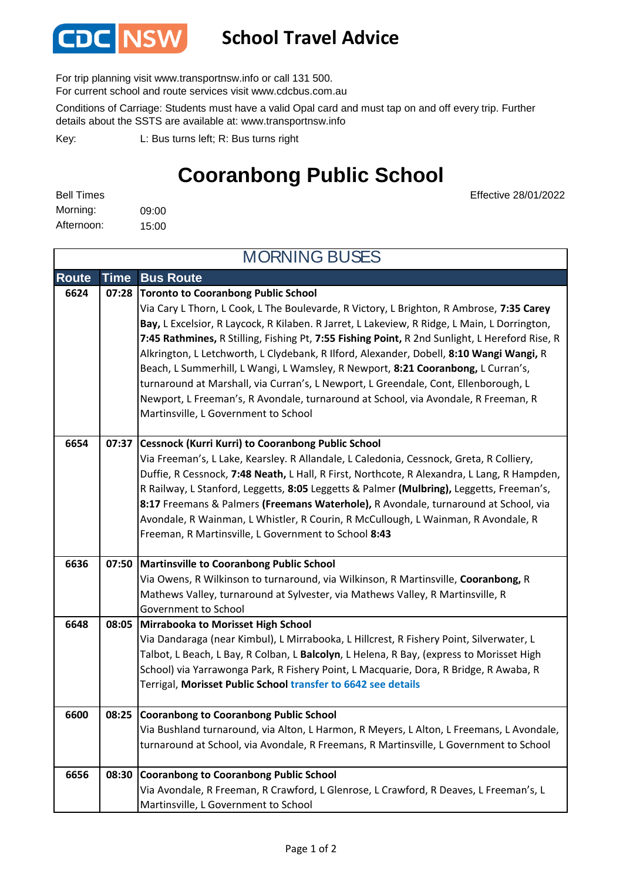

## **School Travel Advice**

For trip planning visit www.transportnsw.info or call 131 500.

For current school and route services visit www.cdcbus.com.au

Conditions of Carriage: Students must have a valid Opal card and must tap on and off every trip. Further details about the SSTS are available at: www.transportnsw.info

L: Bus turns left; R: Bus turns right Key:

## **Cooranbong Public School**

Effective 28/01/2022

| <b>Bell Times</b> |       |
|-------------------|-------|
| Morning:          | 09:00 |
| Afternoon:        | 15:00 |

**Route Time Bus Route Toronto to Cooranbong Public School 6624 07:28** Via Cary L Thorn, L Cook, L The Boulevarde, R Victory, L Brighton, R Ambrose, **7:35 Carey Bay,** L Excelsior, R Laycock, R Kilaben. R Jarret, L Lakeview, R Ridge, L Main, L Dorrington, **7:45 Rathmines,** R Stilling, Fishing Pt, **7:55 Fishing Point,** R 2nd Sunlight, L Hereford Rise, R Alkrington, L Letchworth, L Clydebank, R Ilford, Alexander, Dobell, **8:10 Wangi Wangi,** R Beach, L Summerhill, L Wangi, L Wamsley, R Newport, **8:21 Cooranbong,** L Curran's, turnaround at Marshall, via Curran's, L Newport, L Greendale, Cont, Ellenborough, L Newport, L Freeman's, R Avondale, turnaround at School, via Avondale, R Freeman, R Martinsville, L Government to School **Cessnock (Kurri Kurri) to Cooranbong Public School**  Via Freeman's, L Lake, Kearsley. R Allandale, L Caledonia, Cessnock, Greta, R Colliery, Duffie, R Cessnock, **7:48 Neath,** L Hall, R First, Northcote, R Alexandra, L Lang, R Hampden, R Railway, L Stanford, Leggetts, **8:05** Leggetts & Palmer **(Mulbring),** Leggetts, Freeman's, **8:17** Freemans & Palmers **(Freemans Waterhole),** R Avondale, turnaround at School, via Avondale, R Wainman, L Whistler, R Courin, R McCullough, L Wainman, R Avondale, R Freeman, R Martinsville, L Government to School **8:43 Martinsville to Cooranbong Public School 6636 07:50** Via Owens, R Wilkinson to turnaround, via Wilkinson, R Martinsville, **Cooranbong,** R Mathews Valley, turnaround at Sylvester, via Mathews Valley, R Martinsville, R Government to School **Mirrabooka to Morisset High School 6648 08:05** Via Dandaraga (near Kimbul), L Mirrabooka, L Hillcrest, R Fishery Point, Silverwater, L Talbot, L Beach, L Bay, R Colban, L **Balcolyn**, L Helena, R Bay, (express to Morisset High School) via Yarrawonga Park, R Fishery Point, L Macquarie, Dora, R Bridge, R Awaba, R Terrigal, **Morisset Public School transfer to 6642 see details Cooranbong to Cooranbong Public School** Via Bushland turnaround, via Alton, L Harmon, R Meyers, L Alton, L Freemans, L Avondale, turnaround at School, via Avondale, R Freemans, R Martinsville, L Government to School **Cooranbong to Cooranbong Public School** Via Avondale, R Freeman, R Crawford, L Glenrose, L Crawford, R Deaves, L Freeman's, L Martinsville, L Government to School **08:25** MORNING BUSES **6654 07:37 6656 08:30 6600**